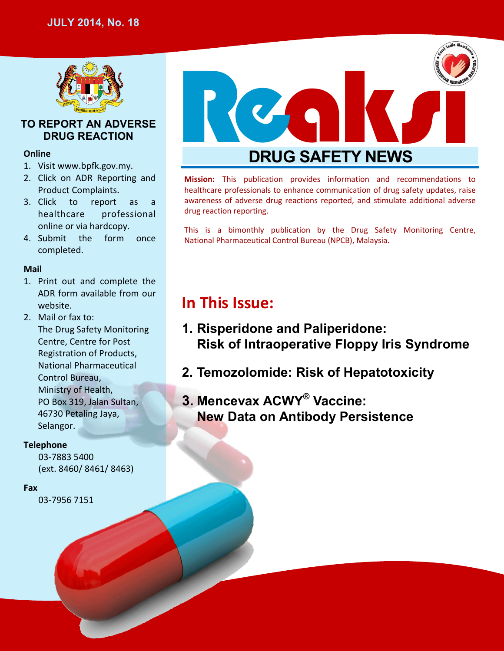

## **TO REPORT AN ADVERSE DRUG REACTION**

## **Online**

- 1. Visit www.bpfk.gov.my.
- 2. Click on ADR Reporting and Product Complaints.
- 3. Click to report as a healthcare professional online or via hardcopy.
- 4. Submit the form once completed.

## **Mail**

- 1. Print out and complete the ADR form available from our website.
- 2. Mail or fax to: The Drug Safety Monitoring Centre, Centre for Post Registration of Products, National Pharmaceutical Control Bureau, Ministry of Health, PO Box 319, Jalan Sultan, 46730 Petaling Jaya, Selangor.

## **Telephone**

03-7883 5400 (ext. 8460/ 8461/ 8463)

### **Fax**

03-7956 7151



**Mission:** This publication provides information and recommendations to healthcare professionals to enhance communication of drug safety updates, raise awareness of adverse drug reactions reported, and stimulate additional adverse drug reaction reporting.

This is a bimonthly publication by the Drug Safety Monitoring Centre, National Pharmaceutical Control Bureau (NPCB), Malaysia.

# **In This Issue:**

- **1. Risperidone and Paliperidone: Risk of Intraoperative Floppy Iris Syndrome**
- **2. Temozolomide: Risk of Hepatotoxicity**
- **3. Mencevax ACWY® Vaccine: New Data on Antibody Persistence**